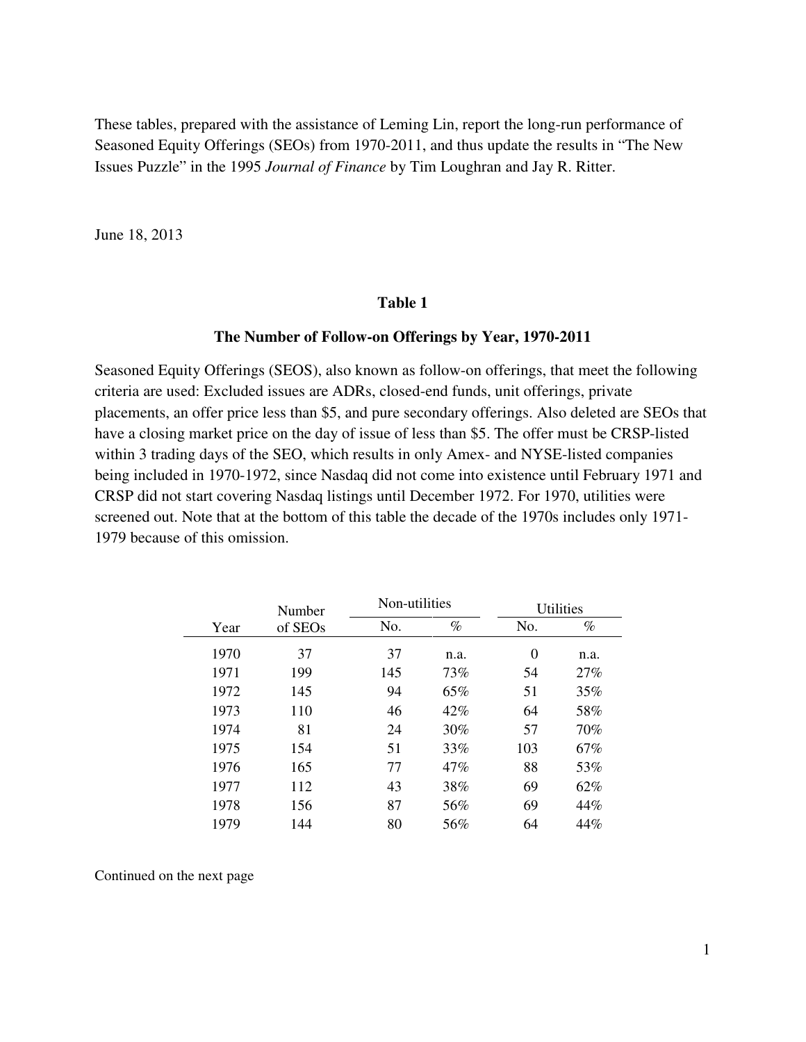These tables, prepared with the assistance of Leming Lin, report the long-run performance of Seasoned Equity Offerings (SEOs) from 1970-2011, and thus update the results in "The New Issues Puzzle" in the 1995 *Journal of Finance* by Tim Loughran and Jay R. Ritter.

June 18, 2013

#### **Table 1**

#### **The Number of Follow-on Offerings by Year, 1970-2011**

Seasoned Equity Offerings (SEOS), also known as follow-on offerings, that meet the following criteria are used: Excluded issues are ADRs, closed-end funds, unit offerings, private placements, an offer price less than \$5, and pure secondary offerings. Also deleted are SEOs that have a closing market price on the day of issue of less than \$5. The offer must be CRSP-listed within 3 trading days of the SEO, which results in only Amex- and NYSE-listed companies being included in 1970-1972, since Nasdaq did not come into existence until February 1971 and CRSP did not start covering Nasdaq listings until December 1972. For 1970, utilities were screened out. Note that at the bottom of this table the decade of the 1970s includes only 1971- 1979 because of this omission.

|      | Number  | Non-utilities |      | <b>Utilities</b> |      |
|------|---------|---------------|------|------------------|------|
| Year | of SEOs | No.           | $\%$ | No.              | $\%$ |
| 1970 | 37      | 37            | n.a. | $\theta$         | n.a. |
| 1971 | 199     | 145           | 73%  | 54               | 27%  |
| 1972 | 145     | 94            | 65%  | 51               | 35%  |
| 1973 | 110     | 46            | 42%  | 64               | 58%  |
| 1974 | 81      | 24            | 30%  | 57               | 70%  |
| 1975 | 154     | 51            | 33%  | 103              | 67%  |
| 1976 | 165     | 77            | 47%  | 88               | 53%  |
| 1977 | 112     | 43            | 38%  | 69               | 62%  |
| 1978 | 156     | 87            | 56%  | 69               | 44%  |
| 1979 | 144     | 80            | 56%  | 64               | 44%  |

Continued on the next page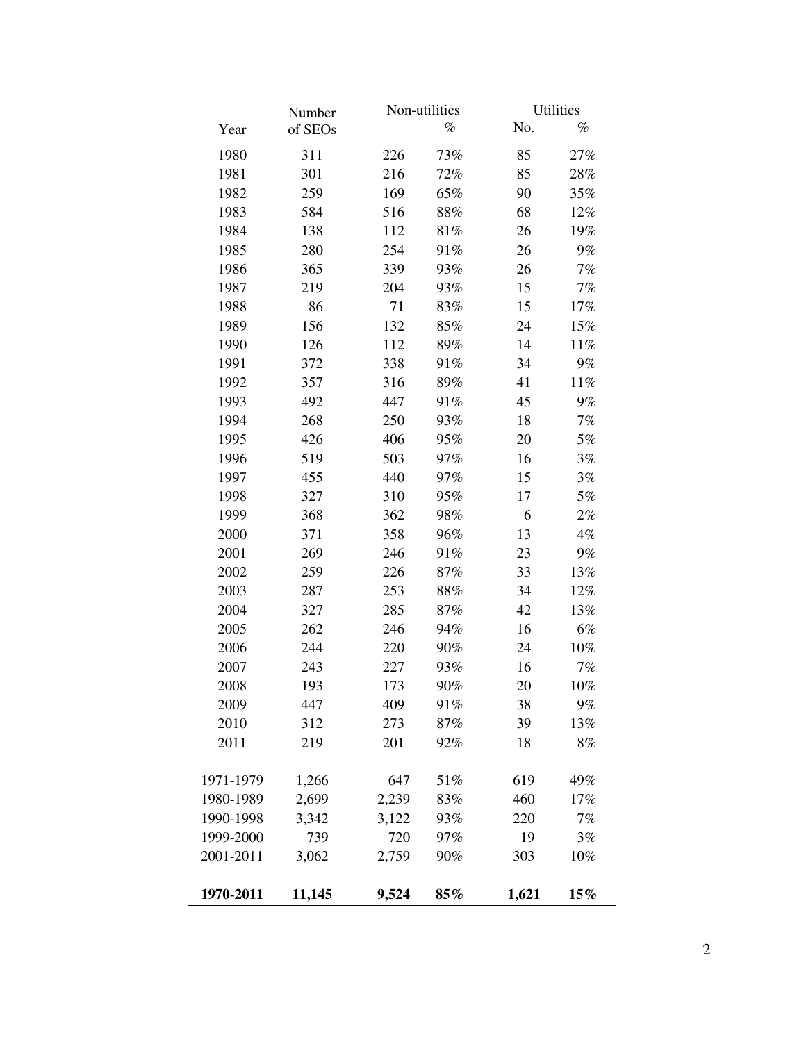|           | Number  |       | Non-utilities |       | <b>Utilities</b> |
|-----------|---------|-------|---------------|-------|------------------|
| Year      | of SEOs |       | $\%$          | No.   | $\%$             |
| 1980      | 311     | 226   | 73%           | 85    | 27%              |
| 1981      | 301     | 216   | 72%           | 85    | 28%              |
| 1982      | 259     | 169   | 65%           | 90    | 35%              |
| 1983      | 584     | 516   | 88%           | 68    | 12%              |
| 1984      | 138     | 112   | 81%           | 26    | 19%              |
| 1985      | 280     | 254   | 91%           | 26    | $9\%$            |
| 1986      | 365     | 339   | 93%           | 26    | 7%               |
| 1987      | 219     | 204   | 93%           | 15    | 7%               |
| 1988      | 86      | 71    | 83%           | 15    | 17%              |
| 1989      | 156     | 132   | 85%           | 24    | 15%              |
| 1990      | 126     | 112   | 89%           | 14    | 11%              |
| 1991      | 372     | 338   | 91%           | 34    | $9\%$            |
| 1992      | 357     | 316   | 89%           | 41    | 11%              |
| 1993      | 492     | 447   | 91%           | 45    | $9\%$            |
| 1994      | 268     | 250   | 93%           | 18    | 7%               |
| 1995      | 426     | 406   | 95%           | 20    | 5%               |
| 1996      | 519     | 503   | 97%           | 16    | 3%               |
| 1997      | 455     | 440   | 97%           | 15    | 3%               |
| 1998      | 327     | 310   | 95%           | 17    | 5%               |
| 1999      | 368     | 362   | 98%           | 6     | $2\%$            |
| 2000      | 371     | 358   | 96%           | 13    | 4%               |
| 2001      | 269     | 246   | 91%           | 23    | $9\%$            |
| 2002      | 259     | 226   | 87%           | 33    | 13%              |
| 2003      | 287     | 253   | 88%           | 34    | 12%              |
| 2004      | 327     | 285   | 87%           | 42    | 13%              |
| 2005      | 262     | 246   | 94%           | 16    | 6%               |
| 2006      | 244     | 220   | 90%           | 24    | 10%              |
| 2007      | 243     | 227   | 93%           | 16    | 7%               |
| 2008      | 193     | 173   | 90%           | 20    | 10%              |
| 2009      | 447     | 409   | 91%           | 38    | 9%               |
| 2010      | 312     | 273   | 87%           | 39    | 13%              |
| 2011      | 219     | 201   | 92%           | 18    | 8%               |
|           |         |       |               |       |                  |
| 1971-1979 | 1,266   | 647   | 51%           | 619   | 49%              |
| 1980-1989 | 2,699   | 2,239 | 83%           | 460   | 17%              |
| 1990-1998 | 3,342   | 3,122 | 93%           | 220   | 7%               |
| 1999-2000 | 739     | 720   | 97%           | 19    | 3%               |
| 2001-2011 | 3,062   | 2,759 | 90%           | 303   | 10%              |
| 1970-2011 | 11,145  | 9,524 | $85\%$        | 1,621 | $15\%$           |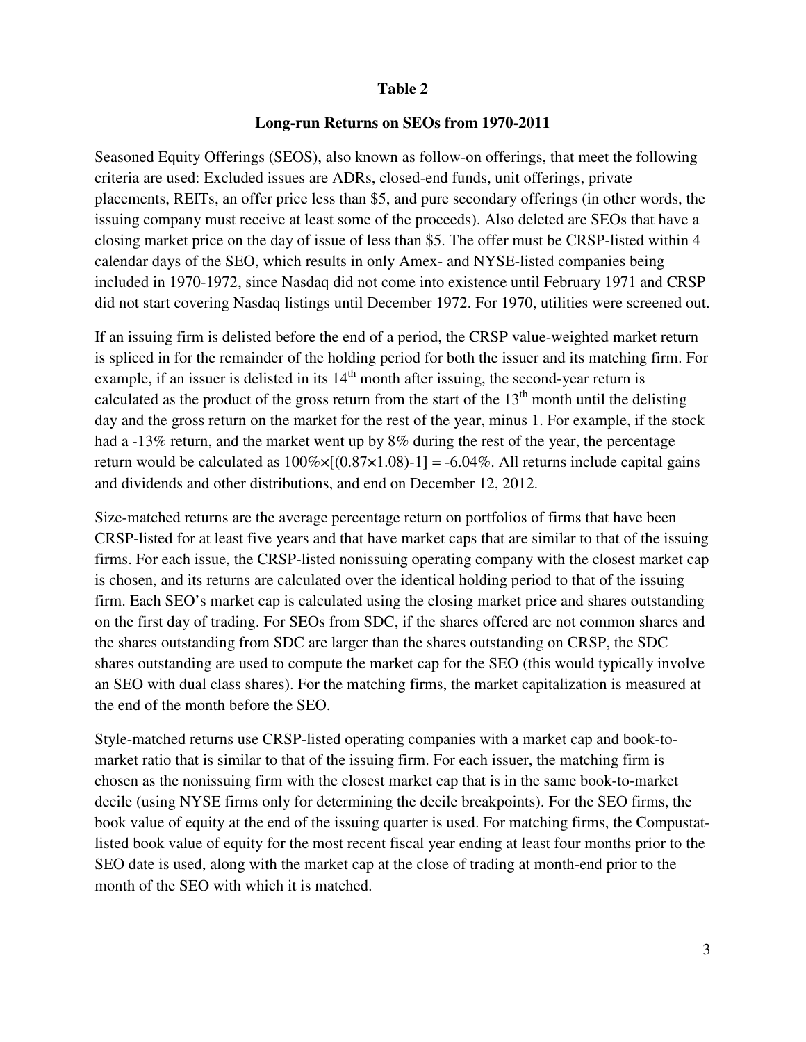### **Table 2**

### **Long-run Returns on SEOs from 1970-2011**

Seasoned Equity Offerings (SEOS), also known as follow-on offerings, that meet the following criteria are used: Excluded issues are ADRs, closed-end funds, unit offerings, private placements, REITs, an offer price less than \$5, and pure secondary offerings (in other words, the issuing company must receive at least some of the proceeds). Also deleted are SEOs that have a closing market price on the day of issue of less than \$5. The offer must be CRSP-listed within 4 calendar days of the SEO, which results in only Amex- and NYSE-listed companies being included in 1970-1972, since Nasdaq did not come into existence until February 1971 and CRSP did not start covering Nasdaq listings until December 1972. For 1970, utilities were screened out.

If an issuing firm is delisted before the end of a period, the CRSP value-weighted market return is spliced in for the remainder of the holding period for both the issuer and its matching firm. For example, if an issuer is delisted in its  $14<sup>th</sup>$  month after issuing, the second-year return is calculated as the product of the gross return from the start of the  $13<sup>th</sup>$  month until the delisting day and the gross return on the market for the rest of the year, minus 1. For example, if the stock had a -13% return, and the market went up by 8% during the rest of the year, the percentage return would be calculated as  $100\% \times [(0.87 \times 1.08) - 1] = -6.04\%$ . All returns include capital gains and dividends and other distributions, and end on December 12, 2012.

Size-matched returns are the average percentage return on portfolios of firms that have been CRSP-listed for at least five years and that have market caps that are similar to that of the issuing firms. For each issue, the CRSP-listed nonissuing operating company with the closest market cap is chosen, and its returns are calculated over the identical holding period to that of the issuing firm. Each SEO's market cap is calculated using the closing market price and shares outstanding on the first day of trading. For SEOs from SDC, if the shares offered are not common shares and the shares outstanding from SDC are larger than the shares outstanding on CRSP, the SDC shares outstanding are used to compute the market cap for the SEO (this would typically involve an SEO with dual class shares). For the matching firms, the market capitalization is measured at the end of the month before the SEO.

Style-matched returns use CRSP-listed operating companies with a market cap and book-tomarket ratio that is similar to that of the issuing firm. For each issuer, the matching firm is chosen as the nonissuing firm with the closest market cap that is in the same book-to-market decile (using NYSE firms only for determining the decile breakpoints). For the SEO firms, the book value of equity at the end of the issuing quarter is used. For matching firms, the Compustatlisted book value of equity for the most recent fiscal year ending at least four months prior to the SEO date is used, along with the market cap at the close of trading at month-end prior to the month of the SEO with which it is matched.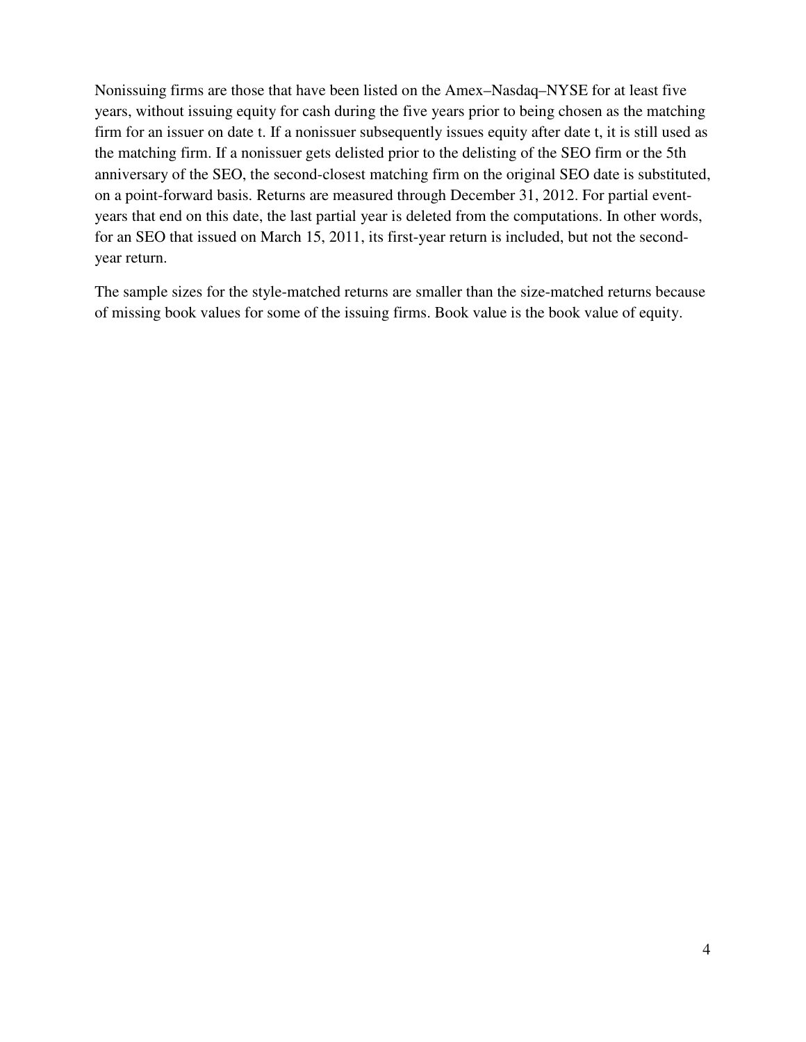Nonissuing firms are those that have been listed on the Amex–Nasdaq–NYSE for at least five years, without issuing equity for cash during the five years prior to being chosen as the matching firm for an issuer on date t. If a nonissuer subsequently issues equity after date t, it is still used as the matching firm. If a nonissuer gets delisted prior to the delisting of the SEO firm or the 5th anniversary of the SEO, the second-closest matching firm on the original SEO date is substituted, on a point-forward basis. Returns are measured through December 31, 2012. For partial eventyears that end on this date, the last partial year is deleted from the computations. In other words, for an SEO that issued on March 15, 2011, its first-year return is included, but not the secondyear return.

The sample sizes for the style-matched returns are smaller than the size-matched returns because of missing book values for some of the issuing firms. Book value is the book value of equity.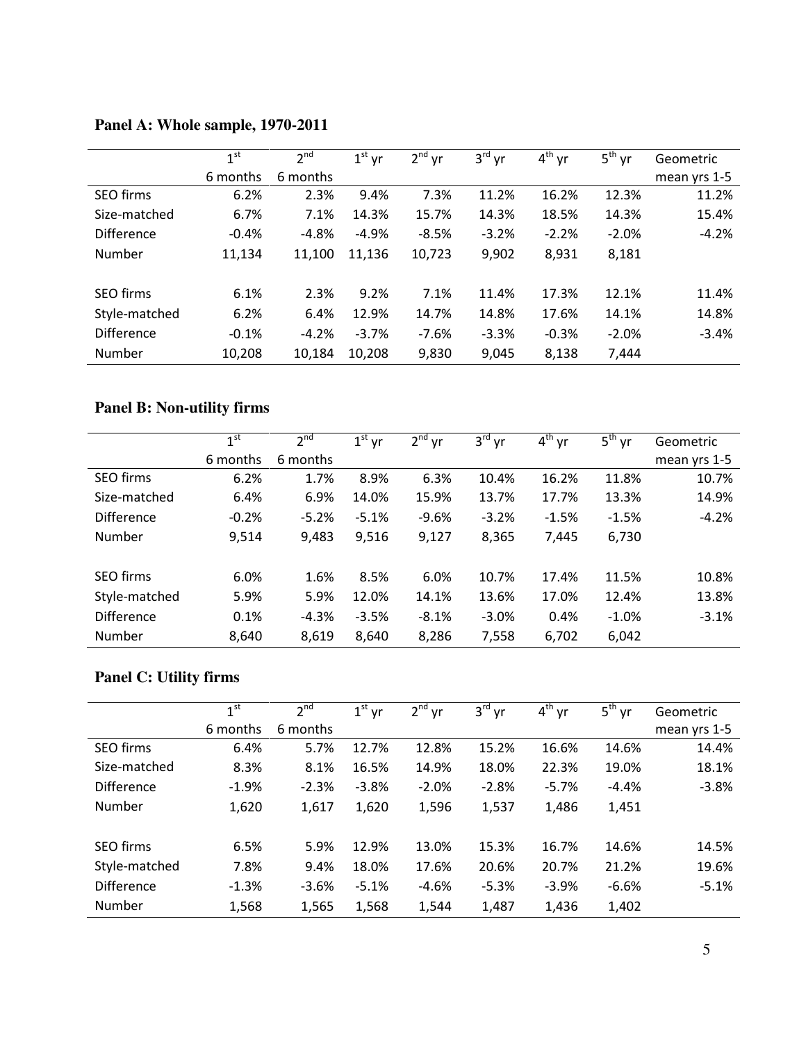|                   | $\mathbf{1}$ st | 2 <sub>nd</sub> | $1^{\rm st}$<br>yr | 2 <sup>nd</sup><br>yr | 3 <sup>rd</sup><br>yr | $4th$ yr | $5^{\text{th}}$<br>vr | Geometric    |
|-------------------|-----------------|-----------------|--------------------|-----------------------|-----------------------|----------|-----------------------|--------------|
|                   | 6 months        | 6 months        |                    |                       |                       |          |                       | mean yrs 1-5 |
| <b>SEO firms</b>  | 6.2%            | 2.3%            | 9.4%               | 7.3%                  | 11.2%                 | 16.2%    | 12.3%                 | 11.2%        |
| Size-matched      | 6.7%            | 7.1%            | 14.3%              | 15.7%                 | 14.3%                 | 18.5%    | 14.3%                 | 15.4%        |
| <b>Difference</b> | $-0.4%$         | $-4.8%$         | $-4.9%$            | $-8.5%$               | $-3.2%$               | $-2.2%$  | $-2.0%$               | $-4.2%$      |
| Number            | 11,134          | 11,100          | 11,136             | 10,723                | 9,902                 | 8,931    | 8,181                 |              |
|                   |                 |                 |                    |                       |                       |          |                       |              |
| <b>SEO firms</b>  | 6.1%            | 2.3%            | 9.2%               | 7.1%                  | 11.4%                 | 17.3%    | 12.1%                 | 11.4%        |
| Style-matched     | 6.2%            | 6.4%            | 12.9%              | 14.7%                 | 14.8%                 | 17.6%    | 14.1%                 | 14.8%        |
| <b>Difference</b> | $-0.1%$         | $-4.2%$         | $-3.7%$            | $-7.6%$               | $-3.3%$               | $-0.3%$  | $-2.0%$               | $-3.4%$      |
| Number            | 10,208          | 10,184          | 10,208             | 9,830                 | 9,045                 | 8,138    | 7,444                 |              |

## **Panel A: Whole sample, 1970-2011**

## **Panel B: Non-utility firms**

|                   | 1 <sup>st</sup> | $2^{nd}$ | $1st$ yr | $2nd$ yr | $3^{\text{rd}}$ yr | $4^{th}$ yr | $5^{\text{th}}$ yr | Geometric    |
|-------------------|-----------------|----------|----------|----------|--------------------|-------------|--------------------|--------------|
|                   | 6 months        | 6 months |          |          |                    |             |                    | mean yrs 1-5 |
| <b>SEO</b> firms  | 6.2%            | 1.7%     | 8.9%     | 6.3%     | 10.4%              | 16.2%       | 11.8%              | 10.7%        |
| Size-matched      | 6.4%            | 6.9%     | 14.0%    | 15.9%    | 13.7%              | 17.7%       | 13.3%              | 14.9%        |
| <b>Difference</b> | $-0.2%$         | $-5.2%$  | $-5.1%$  | $-9.6%$  | $-3.2%$            | $-1.5%$     | $-1.5%$            | $-4.2%$      |
| Number            | 9,514           | 9,483    | 9,516    | 9,127    | 8,365              | 7,445       | 6,730              |              |
| <b>SEO</b> firms  | 6.0%            | 1.6%     | 8.5%     | 6.0%     | 10.7%              | 17.4%       | 11.5%              | 10.8%        |
| Style-matched     | 5.9%            | 5.9%     | 12.0%    | 14.1%    | 13.6%              | 17.0%       | 12.4%              | 13.8%        |
| <b>Difference</b> | 0.1%            | $-4.3%$  | $-3.5%$  | $-8.1%$  | $-3.0%$            | 0.4%        | $-1.0%$            | $-3.1%$      |
| Number            | 8,640           | 8,619    | 8,640    | 8,286    | 7,558              | 6,702       | 6,042              |              |

## **Panel C: Utility firms**

|                   | 1 <sup>st</sup> | 2 <sup>nd</sup> | $1^{\text{st}}$<br>yr | 2 <sup>nd</sup><br>yr | $3^{\text{rd}}$<br>yr | $4th$ yr | $5^{\text{th}}$<br>vr | Geometric    |
|-------------------|-----------------|-----------------|-----------------------|-----------------------|-----------------------|----------|-----------------------|--------------|
|                   | 6 months        | 6 months        |                       |                       |                       |          |                       | mean yrs 1-5 |
| <b>SEO firms</b>  | 6.4%            | 5.7%            | 12.7%                 | 12.8%                 | 15.2%                 | 16.6%    | 14.6%                 | 14.4%        |
| Size-matched      | 8.3%            | 8.1%            | 16.5%                 | 14.9%                 | 18.0%                 | 22.3%    | 19.0%                 | 18.1%        |
| <b>Difference</b> | $-1.9%$         | $-2.3%$         | $-3.8%$               | $-2.0%$               | $-2.8%$               | $-5.7%$  | $-4.4%$               | $-3.8%$      |
| Number            | 1,620           | 1,617           | 1,620                 | 1,596                 | 1,537                 | 1,486    | 1,451                 |              |
| <b>SEO</b> firms  | 6.5%            | 5.9%            | 12.9%                 | 13.0%                 | 15.3%                 | 16.7%    | 14.6%                 | 14.5%        |
| Style-matched     | 7.8%            | 9.4%            | 18.0%                 | 17.6%                 | 20.6%                 | 20.7%    | 21.2%                 | 19.6%        |
| <b>Difference</b> | $-1.3%$         | $-3.6%$         | $-5.1%$               | $-4.6%$               | $-5.3%$               | $-3.9%$  | $-6.6%$               | $-5.1%$      |
| Number            | 1,568           | 1,565           | 1,568                 | 1,544                 | 1,487                 | 1,436    | 1,402                 |              |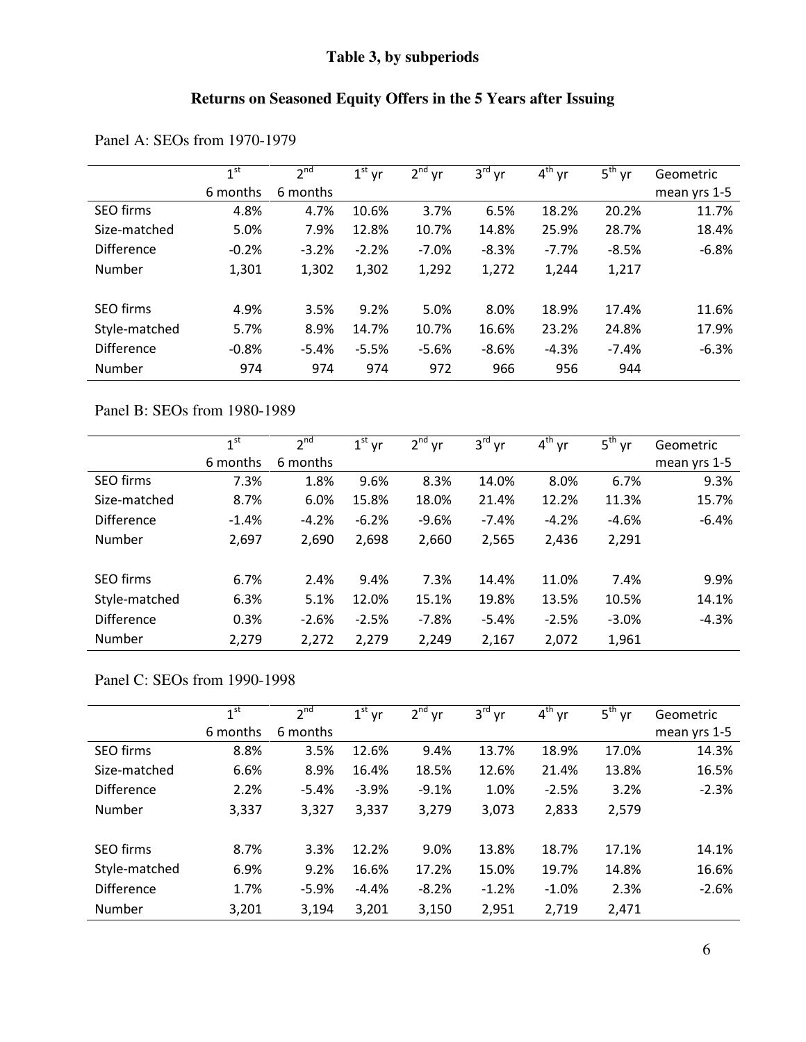### **Table 3, by subperiods**

# **Returns on Seasoned Equity Offers in the 5 Years after Issuing**

|                   | 1 <sup>st</sup> | 2 <sup>nd</sup> | $1st$ yr | $2nd$ yr | 3 <sup>rd</sup><br>yr | $4^{th}$ yr | $5^{\text{th}}$<br>vr | Geometric    |
|-------------------|-----------------|-----------------|----------|----------|-----------------------|-------------|-----------------------|--------------|
|                   | 6 months        | 6 months        |          |          |                       |             |                       | mean yrs 1-5 |
| SEO firms         | 4.8%            | 4.7%            | 10.6%    | 3.7%     | 6.5%                  | 18.2%       | 20.2%                 | 11.7%        |
| Size-matched      | 5.0%            | 7.9%            | 12.8%    | 10.7%    | 14.8%                 | 25.9%       | 28.7%                 | 18.4%        |
| <b>Difference</b> | $-0.2%$         | $-3.2%$         | $-2.2%$  | $-7.0%$  | $-8.3%$               | $-7.7%$     | $-8.5%$               | $-6.8%$      |
| Number            | 1,301           | 1,302           | 1,302    | 1,292    | 1,272                 | 1,244       | 1,217                 |              |
| SEO firms         | 4.9%            | 3.5%            | 9.2%     | 5.0%     | 8.0%                  | 18.9%       | 17.4%                 | 11.6%        |
| Style-matched     | 5.7%            | 8.9%            | 14.7%    | 10.7%    | 16.6%                 | 23.2%       | 24.8%                 | 17.9%        |
| <b>Difference</b> | $-0.8%$         | $-5.4%$         | $-5.5%$  | $-5.6%$  | $-8.6%$               | $-4.3%$     | $-7.4%$               | $-6.3%$      |
| Number            | 974             | 974             | 974      | 972      | 966                   | 956         | 944                   |              |

Panel A: SEOs from 1970-1979

Panel B: SEOs from 1980-1989

|                   | 1 <sup>st</sup> | 2 <sup>nd</sup> | $1st$ yr | $2nd$ yr | $3^{\text{rd}}$ yr | $\overline{4}^{\text{th}}$ yr | $5^{\text{th}}$ yr | Geometric    |
|-------------------|-----------------|-----------------|----------|----------|--------------------|-------------------------------|--------------------|--------------|
|                   | 6 months        | 6 months        |          |          |                    |                               |                    | mean yrs 1-5 |
| <b>SEO firms</b>  | 7.3%            | 1.8%            | 9.6%     | 8.3%     | 14.0%              | 8.0%                          | 6.7%               | 9.3%         |
| Size-matched      | 8.7%            | 6.0%            | 15.8%    | 18.0%    | 21.4%              | 12.2%                         | 11.3%              | 15.7%        |
| <b>Difference</b> | $-1.4%$         | $-4.2%$         | $-6.2%$  | $-9.6%$  | $-7.4%$            | $-4.2%$                       | $-4.6%$            | $-6.4%$      |
| Number            | 2,697           | 2,690           | 2,698    | 2,660    | 2,565              | 2,436                         | 2,291              |              |
| <b>SEO</b> firms  | 6.7%            | 2.4%            | 9.4%     | 7.3%     | 14.4%              | 11.0%                         | 7.4%               | 9.9%         |
| Style-matched     | 6.3%            | 5.1%            | 12.0%    | 15.1%    | 19.8%              | 13.5%                         | 10.5%              | 14.1%        |
| <b>Difference</b> | 0.3%            | $-2.6%$         | $-2.5%$  | $-7.8%$  | $-5.4%$            | $-2.5%$                       | $-3.0%$            | $-4.3%$      |
| Number            | 2,279           | 2,272           | 2,279    | 2,249    | 2,167              | 2,072                         | 1,961              |              |

### Panel C: SEOs from 1990-1998

|                   | 1 <sup>st</sup> | 2 <sup>nd</sup> | $1st$ yr | $2^{nd}$<br>yr | $3^{\text{rd}}$<br>yr | $4th$ yr | $5^{\text{th}}$<br>yr | Geometric    |
|-------------------|-----------------|-----------------|----------|----------------|-----------------------|----------|-----------------------|--------------|
|                   | 6 months        | 6 months        |          |                |                       |          |                       | mean yrs 1-5 |
| SEO firms         | 8.8%            | 3.5%            | 12.6%    | 9.4%           | 13.7%                 | 18.9%    | 17.0%                 | 14.3%        |
| Size-matched      | 6.6%            | 8.9%            | 16.4%    | 18.5%          | 12.6%                 | 21.4%    | 13.8%                 | 16.5%        |
| <b>Difference</b> | 2.2%            | $-5.4%$         | $-3.9%$  | $-9.1%$        | 1.0%                  | $-2.5%$  | 3.2%                  | $-2.3%$      |
| Number            | 3,337           | 3,327           | 3,337    | 3,279          | 3,073                 | 2,833    | 2,579                 |              |
| <b>SEO</b> firms  | 8.7%            | 3.3%            | 12.2%    | 9.0%           | 13.8%                 | 18.7%    | 17.1%                 | 14.1%        |
| Style-matched     | 6.9%            | 9.2%            | 16.6%    | 17.2%          | 15.0%                 | 19.7%    | 14.8%                 | 16.6%        |
| <b>Difference</b> | 1.7%            | $-5.9%$         | $-4.4%$  | $-8.2%$        | $-1.2%$               | $-1.0%$  | 2.3%                  | $-2.6%$      |
| Number            | 3,201           | 3,194           | 3,201    | 3,150          | 2,951                 | 2,719    | 2,471                 |              |